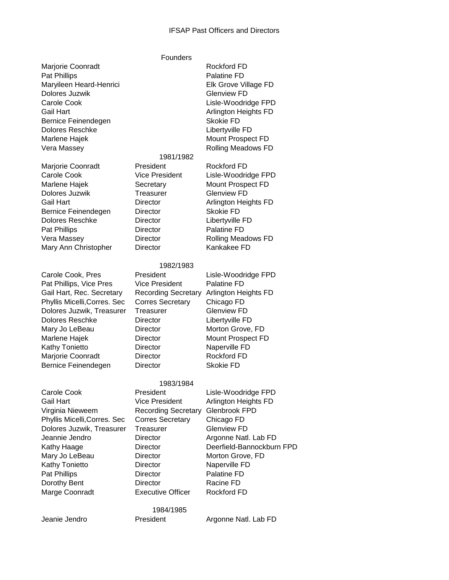## IFSAP Past Officers and Directors

|                                                              | Founders                   |                                                    |
|--------------------------------------------------------------|----------------------------|----------------------------------------------------|
| Marjorie Coonradt<br>Pat Phillips<br>Maryileen Heard-Henrici |                            | Rockford FD<br>Palatine FD<br>Elk Grove Village FD |
| Dolores Juzwik                                               |                            | <b>Glenview FD</b>                                 |
| Carole Cook                                                  |                            | Lisle-Woodridge FPD                                |
| <b>Gail Hart</b>                                             |                            | Arlington Heights FD                               |
| Bernice Feinendegen                                          |                            | <b>Skokie FD</b>                                   |
| <b>Dolores Reschke</b>                                       |                            | Libertyville FD                                    |
| Marlene Hajek                                                |                            | Mount Prospect FD                                  |
| Vera Massey                                                  |                            | Rolling Meadows FD                                 |
|                                                              | 1981/1982                  |                                                    |
| Marjorie Coonradt                                            | President                  | <b>Rockford FD</b>                                 |
| Carole Cook                                                  | <b>Vice President</b>      | Lisle-Woodridge FPD                                |
| Marlene Hajek                                                | Secretary                  | Mount Prospect FD                                  |
| Dolores Juzwik                                               | Treasurer                  | <b>Glenview FD</b>                                 |
| <b>Gail Hart</b>                                             | <b>Director</b>            | Arlington Heights FD                               |
| Bernice Feinendegen                                          | <b>Director</b>            | <b>Skokie FD</b>                                   |
| <b>Dolores Reschke</b>                                       | <b>Director</b>            | Libertyville FD                                    |
| Pat Phillips                                                 | <b>Director</b>            | Palatine FD                                        |
| Vera Massey                                                  | <b>Director</b>            | <b>Rolling Meadows FD</b>                          |
| Mary Ann Christopher                                         | <b>Director</b>            | Kankakee FD                                        |
|                                                              | 1982/1983                  |                                                    |
| Carole Cook, Pres                                            | President                  | Lisle-Woodridge FPD                                |
| Pat Phillips, Vice Pres                                      | <b>Vice President</b>      | Palatine FD                                        |
| Gail Hart, Rec. Secretary                                    | <b>Recording Secretary</b> | Arlington Heights FD                               |
| Phyllis Micelli, Corres. Sec                                 | <b>Corres Secretary</b>    | Chicago FD                                         |
| Dolores Juzwik, Treasurer                                    | Treasurer                  | <b>Glenview FD</b>                                 |
| <b>Dolores Reschke</b>                                       | Director                   | Libertyville FD                                    |
| Mary Jo LeBeau                                               | <b>Director</b>            | Morton Grove, FD                                   |
| Marlene Hajek                                                | Director                   | Mount Prospect FD                                  |
| Kathy Tonietto                                               | Director                   | Naperville FD                                      |
| Marjorie Coonradt                                            | <b>Director</b>            | <b>Rockford FD</b>                                 |
| Bernice Feinendegen                                          | <b>Director</b>            | <b>Skokie FD</b>                                   |
|                                                              |                            |                                                    |
|                                                              | 1983/1984                  |                                                    |
| Carole Cook                                                  | President                  | Lisle-Woodridge FPD                                |
| Gail Hart                                                    | <b>Vice President</b>      | Arlington Heights FD                               |
| Virginia Nieweem                                             | <b>Recording Secretary</b> | Glenbrook FPD                                      |
| Phyllis Micelli, Corres. Sec                                 | <b>Corres Secretary</b>    | Chicago FD                                         |
| Dolores Juzwik, Treasurer                                    | Treasurer                  | <b>Glenview FD</b>                                 |
| Jeannie Jendro                                               | <b>Director</b>            | Argonne Natl. Lab FD                               |
| Kathy Haage                                                  | <b>Director</b>            | Deerfield-Bannockburn FPD                          |
| Mary Jo LeBeau                                               | Director                   | Morton Grove, FD                                   |
| <b>Kathy Tonietto</b>                                        | <b>Director</b>            | Naperville FD                                      |
| Pat Phillips                                                 | Director                   | Palatine FD                                        |
| Dorothy Bent                                                 | <b>Director</b>            | Racine FD                                          |
| Marge Coonradt                                               | <b>Executive Officer</b>   | Rockford FD                                        |
|                                                              |                            |                                                    |

1984/1985

Jeanie Jendro President Argonne Natl. Lab FD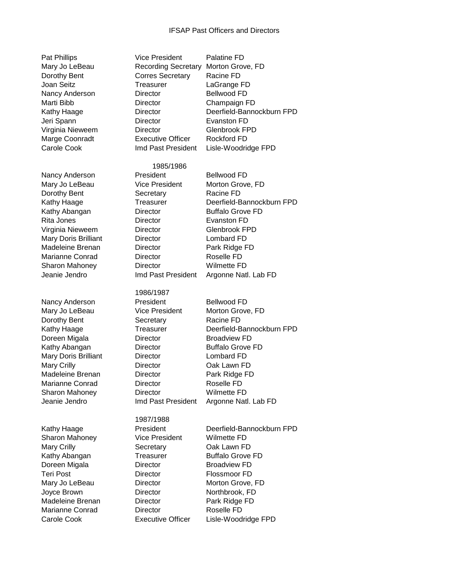## IFSAP Past Officers and Directors

| Pat Phillips          | <b>Vice President</b>      | <b>Palatine FD</b>        |
|-----------------------|----------------------------|---------------------------|
| Mary Jo LeBeau        | <b>Recording Secretary</b> | Morton Grove, FD          |
|                       |                            |                           |
| Dorothy Bent          | <b>Corres Secretary</b>    | Racine FD                 |
| Joan Seitz            | Treasurer                  | LaGrange FD               |
| Nancy Anderson        | Director                   | <b>Bellwood FD</b>        |
| Marti Bibb            | <b>Director</b>            | Champaign FD              |
| Kathy Haage           | <b>Director</b>            | Deerfield-Bannockburn FPD |
| Jeri Spann            | <b>Director</b>            | Evanston FD               |
| Virginia Nieweem      | <b>Director</b>            | Glenbrook FPD             |
| Marge Coonradt        | <b>Executive Officer</b>   | <b>Rockford FD</b>        |
| Carole Cook           | Imd Past President         | Lisle-Woodridge FPD       |
|                       |                            |                           |
|                       | 1985/1986                  |                           |
| Nancy Anderson        | President                  | <b>Bellwood FD</b>        |
|                       |                            |                           |
| Mary Jo LeBeau        | <b>Vice President</b>      | Morton Grove, FD          |
| Dorothy Bent          | Secretary                  | Racine FD                 |
| Kathy Haage           | Treasurer                  | Deerfield-Bannockburn FPD |
| Kathy Abangan         | <b>Director</b>            | <b>Buffalo Grove FD</b>   |
| Rita Jones            | <b>Director</b>            | Evanston FD               |
| Virginia Nieweem      | <b>Director</b>            | Glenbrook FPD             |
| Mary Doris Brilliant  | <b>Director</b>            | Lombard FD                |
| Madeleine Brenan      | <b>Director</b>            | Park Ridge FD             |
| Marianne Conrad       | <b>Director</b>            | Roselle FD                |
|                       |                            |                           |
| Sharon Mahoney        | Director                   | <b>Wilmette FD</b>        |
| Jeanie Jendro         | Imd Past President         | Argonne Natl. Lab FD      |
|                       | 1986/1987                  |                           |
|                       |                            |                           |
| Nancy Anderson        | President                  | <b>Bellwood FD</b>        |
| Mary Jo LeBeau        | <b>Vice President</b>      | Morton Grove, FD          |
| Dorothy Bent          | Secretary                  | Racine FD                 |
| Kathy Haage           | <b>Treasurer</b>           | Deerfield-Bannockburn FPD |
| Doreen Migala         | Director                   | <b>Broadview FD</b>       |
| Kathy Abangan         | Director                   | <b>Buffalo Grove FD</b>   |
| Mary Doris Brilliant  | Director                   | Lombard FD                |
| Mary Crilly           | <b>Director</b>            | Oak Lawn FD               |
| Madeleine Brenan      | Director                   | Park Ridge FD             |
| Marianne Conrad       | <b>Director</b>            | Roselle FD                |
| <b>Sharon Mahoney</b> | Director                   | Wilmette FD               |
|                       |                            |                           |
| Jeanie Jendro         | Imd Past President         | Argonne Natl. Lab FD      |
|                       | 1987/1988                  |                           |
|                       | President                  | Deerfield-Bannockburn FPD |
| Kathy Haage           |                            |                           |
| Sharon Mahoney        | <b>Vice President</b>      | <b>Wilmette FD</b>        |
| Mary Crilly           | Secretary                  | Oak Lawn FD               |
| Kathy Abangan         | <b>Treasurer</b>           | <b>Buffalo Grove FD</b>   |
| Doreen Migala         | Director                   | <b>Broadview FD</b>       |
| <b>Teri Post</b>      | Director                   | Flossmoor FD              |
| Mary Jo LeBeau        | Director                   | Morton Grove, FD          |
| Joyce Brown           | Director                   | Northbrook, FD            |
| Madeleine Brenan      | Director                   | Park Ridge FD             |
| Marianne Conrad       | Director                   | Roselle FD                |
| Carole Cook           | <b>Executive Officer</b>   | Lisle-Woodridge FPD       |
|                       |                            |                           |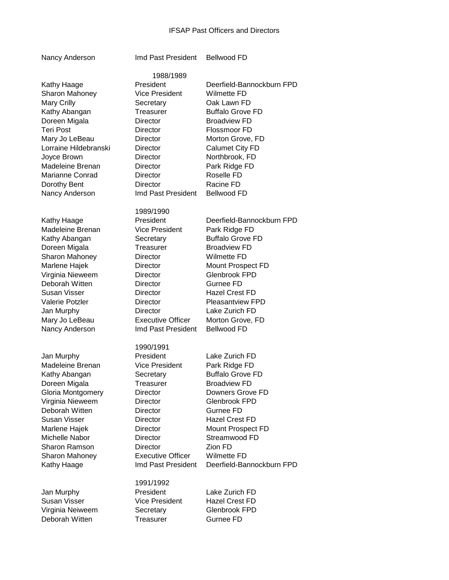## IFSAP Past Officers and Directors

1988/1989

Nancy Anderson Imd Past President Bellwood FD

Jan Murphy President Lake Zurich F Madeleine Brenan V Kathy Abangan Secretary Buffalo Secretary Superior Secretary Secretary Secretary Secretary Secretary Secretary S Doreen Migala Gloria Montgomery Director Virginia Nieweem Director Deborah Witten **Director** Susan Visser **Director** Marlene Hajek **Director** Michelle Nabor Director Sharon Ramson Director Sharon Mahoney **Executive** 

Jan Murphy **President** Lake Zurich FD Susan Visser **Vice President** Hazel Crest FD Virginia Neiweem Secretary Glenbrook FPD Deborah Witten Treasurer Gurnee FD

| Kathy Haage           | President                | Deerfield-Bannockburn FPD |
|-----------------------|--------------------------|---------------------------|
| Sharon Mahoney        | <b>Vice President</b>    | <b>Wilmette FD</b>        |
| <b>Mary Crilly</b>    | Secretary                | Oak Lawn FD               |
| Kathy Abangan         | Treasurer                | <b>Buffalo Grove FD</b>   |
| Doreen Migala         | <b>Director</b>          | <b>Broadview FD</b>       |
| Teri Post             | <b>Director</b>          | Flossmoor FD              |
| Mary Jo LeBeau        | <b>Director</b>          | Morton Grove, FD          |
| Lorraine Hildebranski | <b>Director</b>          | <b>Calumet City FD</b>    |
| Joyce Brown           | <b>Director</b>          | Northbrook, FD            |
| Madeleine Brenan      | <b>Director</b>          | Park Ridge FD             |
| Marianne Conrad       | <b>Director</b>          | Roselle FD                |
| Dorothy Bent          | <b>Director</b>          | Racine FD                 |
| Nancy Anderson        | Imd Past President       | <b>Bellwood FD</b>        |
|                       | 1989/1990                |                           |
| Kathy Haage           | President                | Deerfield-Bannockburn FPD |
| Madeleine Brenan      | <b>Vice President</b>    | Park Ridge FD             |
| Kathy Abangan         | Secretary                | <b>Buffalo Grove FD</b>   |
| Doreen Migala         | Treasurer                | <b>Broadview FD</b>       |
| Sharon Mahoney        | Director                 | <b>Wilmette FD</b>        |
| Marlene Hajek         | Director                 | Mount Prospect FD         |
| Virginia Nieweem      | <b>Director</b>          | Glenbrook FPD             |
| Deborah Witten        | <b>Director</b>          | Gurnee FD                 |
| Susan Visser          | <b>Director</b>          | <b>Hazel Crest FD</b>     |
| Valerie Potzler       | <b>Director</b>          | <b>Pleasantview FPD</b>   |
| Jan Murphy            | <b>Director</b>          | Lake Zurich FD            |
| Mary Jo LeBeau        | <b>Executive Officer</b> | Morton Grove, FD          |
| Nancy Anderson        | Imd Past President       | <b>Bellwood FD</b>        |
|                       | 1990/1991                |                           |
| Jan Murphy            | President                | Lake Zurich FD            |
| Madeleine Brenan      | <b>Vice President</b>    | Park Ridge FD             |
| Kathy Abangan         | Secretary                | <b>Buffalo Grove FD</b>   |
| Doreen Migala         | Treasurer                | <b>Broadview FD</b>       |

| Secretary                | <b>Buffalo Grove FD</b>   |
|--------------------------|---------------------------|
| Treasurer                | <b>Broadview FD</b>       |
| <b>Director</b>          | Downers Grove FD          |
| Director                 | Glenbrook FPD             |
| Director                 | Gurnee FD                 |
| <b>Director</b>          | <b>Hazel Crest FD</b>     |
| <b>Director</b>          | Mount Prospect FD         |
| <b>Director</b>          | Streamwood FD             |
| <b>Director</b>          | Zion FD                   |
| <b>Executive Officer</b> | Wilmette FD               |
| Imd Past President       | Deerfield-Bannockburn FPD |
|                          |                           |

1991/1992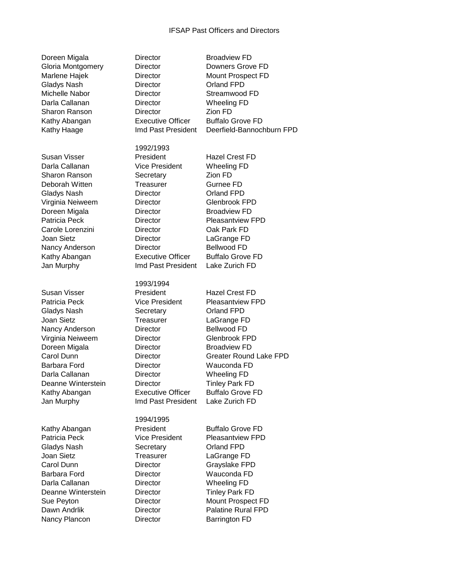| Doreen Migala     |
|-------------------|
| Gloria Montgomery |
| Marlene Hajek     |
| Gladys Nash       |
| Michelle Nabor    |
| Darla Callanan    |
| Sharon Ranson     |
| Kathy Abangan     |
| Kathy Haage       |
|                   |

Nancy Plancon **Director Barrington FD** 

Director **Broadview FD** Director Downers Grove FD Director Mount Prospect FD Director **Orland FPD** Director Streamwood FD Director Wheeling FD Director **Zion FD** Executive Officer Buffalo Grove FD Imd Past President Deerfield-Bannochburn FPD 1992/1993 Susan Visser **President** President Hazel Crest FD Darla Callanan Vice President Wheeling FD Sharon Ranson Secretary **Zion FD** Deborah Witten Treasurer Gurnee FD Gladys Nash **Director** Director **Orland FPD** Virginia Neiweem Director Glenbrook FPD Doreen Migala **Director** Broadview FD Patricia Peck **Director** Director **Pleasantview FPD** Carole Lorenzini Director Oak Park FD Joan Sietz Director LaGrange FD Nancy Anderson **Director Bellwood FD** Kathy Abangan **Executive Officer** Buffalo Grove FD Jan Murphy Imd Past President Lake Zurich FD 1993/1994 Susan Visser President Hazel Crest FD Patricia Peck Vice President Pleasantview FPD Gladys Nash Secretary Criand FPD Joan Sietz **Treasurer** LaGrange FD Nancy Anderson Director Bellwood FD Virginia Neiweem Director Glenbrook FPD Doreen Migala **Director** Broadview FD Carol Dunn Director Greater Round Lake FPD Barbara Ford Director Wauconda FD Darla Callanan **Director** Wheeling FD Deanne Winterstein **Director** Tinley Park FD Kathy Abangan Executive Officer Buffalo Grove FD Jan Murphy Imd Past President Lake Zurich FD 1994/1995 Kathy Abangan **President** President Buffalo Grove FD Patricia Peck **Vice President** Pleasantview FPD Gladys Nash Secretary Crland FPD Joan Sietz **Treasurer** LaGrange FD Carol Dunn Director Grayslake FPD Barbara Ford Director Wauconda FD Darla Callanan **Director** Director Wheeling FD Deanne Winterstein **Director** Tinley Park FD Sue Peyton **Director** Director Mount Prospect FD Dawn Andrlik **Director Director** Palatine Rural FPD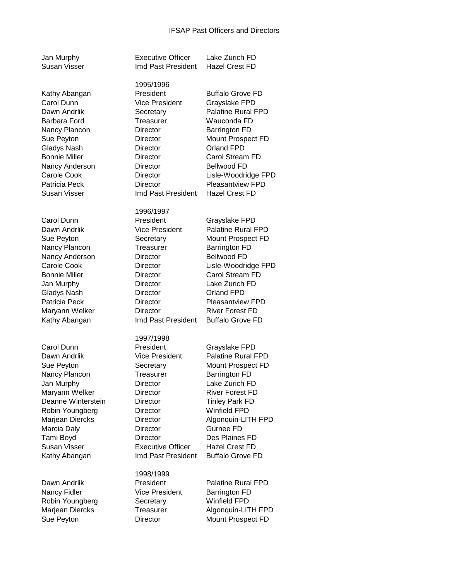| Jan Murphy<br><b>Susan Visser</b>                                                                                                                                                                                         | <b>Executive Officer</b><br>Imd Past President                                                                                                                                                                         | Lake Zurich FD<br><b>Hazel Crest FD</b>                                                                                                                                                                                                                                                      |
|---------------------------------------------------------------------------------------------------------------------------------------------------------------------------------------------------------------------------|------------------------------------------------------------------------------------------------------------------------------------------------------------------------------------------------------------------------|----------------------------------------------------------------------------------------------------------------------------------------------------------------------------------------------------------------------------------------------------------------------------------------------|
| Kathy Abangan<br>Carol Dunn<br>Dawn Andrlik<br>Barbara Ford<br>Nancy Plancon<br>Sue Peyton<br><b>Gladys Nash</b><br><b>Bonnie Miller</b><br>Nancy Anderson<br>Carole Cook<br>Patricia Peck<br>Susan Visser                | 1995/1996<br>President<br><b>Vice President</b><br>Secretary<br>Treasurer<br>Director<br>Director<br><b>Director</b><br><b>Director</b><br>Director<br>Director<br>Director<br>Imd Past President                      | <b>Buffalo Grove FD</b><br>Grayslake FPD<br>Palatine Rural FPD<br>Wauconda FD<br><b>Barrington FD</b><br>Mount Prospect FD<br>Orland FPD<br>Carol Stream FD<br><b>Bellwood FD</b><br>Lisle-Woodridge FPD<br><b>Pleasantview FPD</b><br><b>Hazel Crest FD</b>                                 |
| Carol Dunn<br>Dawn Andrlik<br>Sue Peyton<br>Nancy Plancon<br>Nancy Anderson<br>Carole Cook<br><b>Bonnie Miller</b><br>Jan Murphy<br><b>Gladys Nash</b><br>Patricia Peck<br>Maryann Welker<br>Kathy Abangan                | 1996/1997<br>President<br><b>Vice President</b><br>Secretary<br>Treasurer<br>Director<br>Director<br>Director<br>Director<br>Director<br><b>Director</b><br><b>Director</b><br>Imd Past President                      | Grayslake FPD<br>Palatine Rural FPD<br>Mount Prospect FD<br><b>Barrington FD</b><br><b>Bellwood FD</b><br>Lisle-Woodridge FPD<br>Carol Stream FD<br>Lake Zurich FD<br>Orland FPD<br><b>Pleasantview FPD</b><br><b>River Forest FD</b><br><b>Buffalo Grove FD</b>                             |
| Carol Dunn<br>Dawn Andrlik<br>Sue Peyton<br>Nancy Plancon<br>Jan Murphy<br>Maryann Welker<br>Deanne Winterstein<br>Robin Youngberg<br>Marjean Diercks<br>Marcia Daly<br>Tami Boyd<br><b>Susan Visser</b><br>Kathy Abangan | 1997/1998<br>President<br><b>Vice President</b><br>Secretary<br>Treasurer<br>Director<br>Director<br>Director<br>Director<br>Director<br>Director<br><b>Director</b><br><b>Executive Officer</b><br>Imd Past President | Grayslake FPD<br><b>Palatine Rural FPD</b><br>Mount Prospect FD<br><b>Barrington FD</b><br>Lake Zurich FD<br><b>River Forest FD</b><br><b>Tinley Park FD</b><br><b>Winfield FPD</b><br>Algonquin-LITH FPD<br>Gurnee FD<br>Des Plaines FD<br><b>Hazel Crest FD</b><br><b>Buffalo Grove FD</b> |
| Dawn Andrlik<br>Nancy Fidler<br>Robin Youngberg<br>Marjean Diercks<br>Sue Peyton                                                                                                                                          | 1998/1999<br>President<br><b>Vice President</b><br>Secretary<br>Treasurer<br>Director                                                                                                                                  | <b>Palatine Rural FPD</b><br><b>Barrington FD</b><br>Winfield FPD<br>Algonquin-LITH FPD<br>Mount Prospect FD                                                                                                                                                                                 |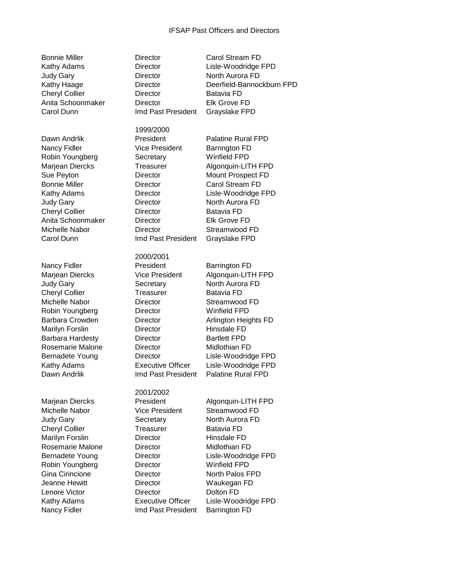Judy Gary **Director** Director **North Aurora FD** Cheryl Collier **Director** Director **Batavia FD** Anita Schoonmaker Director Elk Grove FD Carol Dunn Imd Past President Grayslake FPD

Nancy Fidler **Vice President** Barrington FD Robin Youngberg **Secretary** Winfield FPD Cheryl Collier **Director** Director **Batavia FD** Anita Schoonmaker Director Elk Grove FD Michelle Nabor **Director** Director Streamwood FD Carol Dunn Imd Past President Grayslake FPD

Robin Youngberg Director Winfield FPD Gina Cirincione **Director** Director **North Palos FPD** Jeanne Hewitt Director Waukegan FD Lenore Victor Director Dolton FD

**Bonnie Miller Carol Stream FD** Director Carol Stream FD

1999/2000

2000/2001 Nancy Fidler **President Barrington FD** Marjean Diercks Vice President Algonquin-LITH FPD Judy Gary **Secretary** North Aurora FD Cheryl Collier Treasurer Batavia FD Michelle Nabor **Director** Director Streamwood FD Robin Youngberg Director Winfield FPD Barbara Crowden **Director Director** Arlington Heights FD Marilyn Forslin **Director** Hinsdale FD Barbara Hardesty **Director Bartlett FPD** Rosemarie Malone **Director** Midlothian FD Bernadete Young Director Lisle-Woodridge FPD Kathy Adams Executive Officer Lisle-Woodridge FPD Dawn Andrlik Imd Past President Palatine Rural FPD

2001/2002 Marjean Diercks **President** Algonquin-LITH FPD Michelle Nabor Vice President Streamwood FD Judy Gary **Secretary** North Aurora FD Cheryl Collier Treasurer Batavia FD Marilyn Forslin **Director** Hinsdale FD Rosemarie Malone **Director** Midlothian FD

Bernadete Young Director Lisle-Woodridge FPD

Kathy Adams Executive Officer Lisle-Woodridge FPD Nancy Fidler **Imd Past President** Barrington FD

Kathy Adams Director Lisle-Woodridge FPD Kathy Haage **Director** Director Deerfield-Bannockburn FPD Dawn Andrlik **President** President Palatine Rural FPD

Marjean Diercks Treasurer Algonquin-LITH FPD Sue Peyton **Director** Director Mount Prospect FD Bonnie Miller **Director** Director Carol Stream FD Kathy Adams **Director** Lisle-Woodridge FPD Judy Gary **Director** Director **North Aurora FD**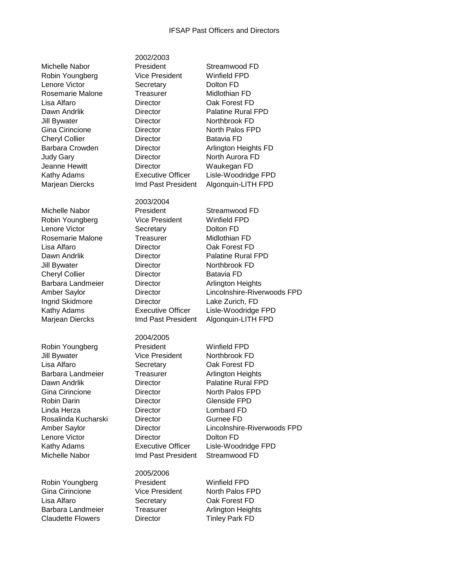2002/2003

Michelle Nabor President Streamwood FD

Amber Saylor Director Lincolnshire-Riverwoods FPD Lenore Victor **Director** Director **Dolton FD** Kathy Adams Executive Officer Lisle-Woodridge FPD Michelle Nabor Imd Past President Streamwood FD

Robin Youngberg **President** Winfield FPD Gina Cirincione **Vice President** North Palos FPD Lisa Alfaro Secretary Oak Forest FD Barbara Landmeier Treasurer Arlington Heights Claudette Flowers **Director** Tinley Park FD

Robin Youngberg Vice President Winfield FPD Lenore Victor **Secretary** Dolton FD Rosemarie Malone **Treasurer** Midlothian FD Lisa Alfaro Director Oak Forest FD Dawn Andrlik **Director Director** Palatine Rural FPD Jill Bywater **Director** Director **Northbrook FD** Gina Cirincione **Director Director North Palos FPD** Cheryl Collier **Director** Director **Batavia FD** Barbara Crowden **Director Director** Arlington Heights FD Judy Gary **Director** Director **North Aurora FD** Jeanne Hewitt **Director** Director Waukegan FD Kathy Adams Executive Officer Lisle-Woodridge FPD Marjean Diercks Imd Past President Algonquin-LITH FPD 2003/2004 Michelle Nabor **President** Streamwood FD Robin Youngberg Vice President Winfield FPD Lenore Victor **Secretary** Dolton FD Rosemarie Malone **Treasurer** Midlothian FD Lisa Alfaro Director Oak Forest FD Dawn Andrlik **Director Director** Palatine Rural FPD Jill Bywater **Director** Director **Northbrook FD** Cheryl Collier **Director** Director **Batavia FD** Barbara Landmeier **Director Director** Arlington Heights Amber Saylor Director Lincolnshire-Riverwoods FPD Ingrid Skidmore Director Lake Zurich, FD Kathy Adams Executive Officer Lisle-Woodridge FPD Marjean Diercks Imd Past President Algonquin-LITH FPD 2004/2005 Robin Youngberg **President** Winfield FPD Jill Bywater **Vice President** Northbrook FD Lisa Alfaro Secretary Oak Forest FD Barbara Landmeier Treasurer Arlington Heights Dawn Andrlik **Director Director** Palatine Rural FPD Gina Cirincione **Director** Director **North Palos FPD** Robin Darin **Director** Director **Glenside FPD** Linda Herza Director Lombard FD Rosalinda Kucharski Director Gurnee FD

2005/2006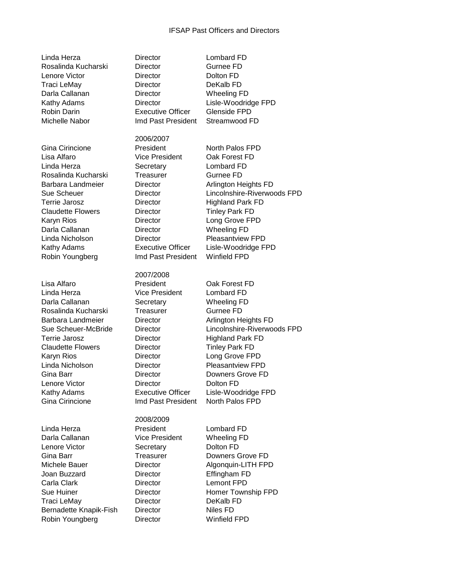| Linda Herza<br>Rosalinda Kucharski<br>Lenore Victor<br>Traci LeMay<br>Darla Callanan<br>Kathy Adams<br>Robin Darin<br>Michelle Nabor                                                                                                                                 | Director<br><b>Director</b><br><b>Director</b><br>Director<br><b>Director</b><br><b>Director</b><br><b>Executive Officer</b><br>Imd Past President                                                                                                               | Lombard FD<br>Gurnee FD<br>Dolton FD<br>DeKalb FD<br><b>Wheeling FD</b><br>Lisle-Woodridge FPD<br><b>Glenside FPD</b><br>Streamwood FD                                                                                                                                                     |
|----------------------------------------------------------------------------------------------------------------------------------------------------------------------------------------------------------------------------------------------------------------------|------------------------------------------------------------------------------------------------------------------------------------------------------------------------------------------------------------------------------------------------------------------|--------------------------------------------------------------------------------------------------------------------------------------------------------------------------------------------------------------------------------------------------------------------------------------------|
| Gina Cirincione<br>Lisa Alfaro<br>Linda Herza<br>Rosalinda Kucharski<br>Barbara Landmeier<br>Sue Scheuer<br>Terrie Jarosz<br><b>Claudette Flowers</b><br>Karyn Rios<br>Darla Callanan<br>Linda Nicholson<br>Kathy Adams<br>Robin Youngberg                           | 2006/2007<br>President<br><b>Vice President</b><br>Secretary<br>Treasurer<br><b>Director</b><br><b>Director</b><br><b>Director</b><br><b>Director</b><br><b>Director</b><br><b>Director</b><br><b>Director</b><br><b>Executive Officer</b><br>Imd Past President | North Palos FPD<br>Oak Forest FD<br>Lombard FD<br>Gurnee FD<br>Arlington Heights FD<br>Lincolnshire-Riverwoods FPD<br><b>Highland Park FD</b><br><b>Tinley Park FD</b><br>Long Grove FPD<br><b>Wheeling FD</b><br><b>Pleasantview FPD</b><br>Lisle-Woodridge FPD<br><b>Winfield FPD</b>    |
| Lisa Alfaro<br>Linda Herza<br>Darla Callanan<br>Rosalinda Kucharski<br>Barbara Landmeier<br>Sue Scheuer-McBride<br><b>Terrie Jarosz</b><br><b>Claudette Flowers</b><br>Karyn Rios<br>Linda Nicholson<br>Gina Barr<br>Lenore Victor<br>Kathy Adams<br>Gina Cirincione | 2007/2008<br>President<br><b>Vice President</b><br>Secretary<br>Treasurer<br><b>Director</b><br>Director<br>Director<br>Director<br><b>Director</b><br>Director<br><b>Director</b><br>Director<br><b>Executive Officer</b><br>Imd Past President                 | Oak Forest FD<br>Lombard FD<br><b>Wheeling FD</b><br>Gurnee FD<br>Arlington Heights FD<br>Lincolnshire-Riverwoods FPD<br><b>Highland Park FD</b><br><b>Tinley Park FD</b><br>Long Grove FPD<br>Pleasantview FPD<br>Downers Grove FD<br>Dolton FD<br>Lisle-Woodridge FPD<br>North Palos FPD |
| Linda Herza<br>Darla Callanan<br>Lenore Victor<br>Gina Barr<br>Michele Bauer<br>Joan Buzzard<br>Carla Clark<br><b>Sue Huiner</b><br>Traci LeMay<br>Bernadette Knapik-Fish<br>Robin Youngberg                                                                         | 2008/2009<br>President<br><b>Vice President</b><br>Secretary<br>Treasurer<br><b>Director</b><br><b>Director</b><br><b>Director</b><br>Director<br><b>Director</b><br><b>Director</b><br><b>Director</b>                                                          | Lombard FD<br><b>Wheeling FD</b><br>Dolton FD<br>Downers Grove FD<br>Algonquin-LITH FPD<br>Effingham FD<br><b>Lemont FPD</b><br>Homer Township FPD<br>DeKalb FD<br>Niles FD<br><b>Winfield FPD</b>                                                                                         |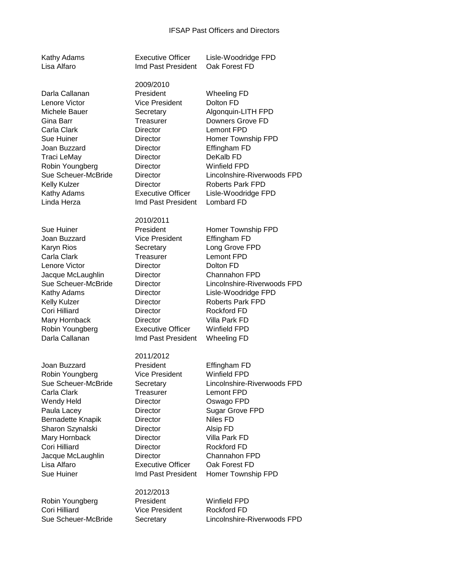| Kathy Adams<br>Lisa Alfaro                                                                                                                                                                                                        | <b>Executive Officer</b><br>Imd Past President                                                                                                                                                                                              | Lisle-Woodridge FPD<br>Oak Forest FD                                                                                                                                                                                                                                               |
|-----------------------------------------------------------------------------------------------------------------------------------------------------------------------------------------------------------------------------------|---------------------------------------------------------------------------------------------------------------------------------------------------------------------------------------------------------------------------------------------|------------------------------------------------------------------------------------------------------------------------------------------------------------------------------------------------------------------------------------------------------------------------------------|
| Darla Callanan<br>Lenore Victor<br>Michele Bauer<br>Gina Barr<br>Carla Clark<br><b>Sue Huiner</b><br>Joan Buzzard<br><b>Traci LeMay</b><br>Robin Youngberg<br>Sue Scheuer-McBride<br>Kelly Kulzer<br>Kathy Adams<br>Linda Herza   | 2009/2010<br>President<br><b>Vice President</b><br>Secretary<br>Treasurer<br>Director<br><b>Director</b><br>Director<br>Director<br>Director<br>Director<br><b>Director</b><br><b>Executive Officer</b><br>Imd Past President               | <b>Wheeling FD</b><br>Dolton FD<br>Algonquin-LITH FPD<br>Downers Grove FD<br><b>Lemont FPD</b><br>Homer Township FPD<br>Effingham FD<br>DeKalb <sub>FD</sub><br><b>Winfield FPD</b><br>Lincolnshire-Riverwoods FPD<br><b>Roberts Park FPD</b><br>Lisle-Woodridge FPD<br>Lombard FD |
| <b>Sue Huiner</b><br>Joan Buzzard<br>Karyn Rios<br>Carla Clark<br>Lenore Victor<br>Jacque McLaughlin<br>Sue Scheuer-McBride<br>Kathy Adams<br>Kelly Kulzer<br>Cori Hilliard<br>Mary Hornback<br>Robin Youngberg<br>Darla Callanan | 2010/2011<br>President<br><b>Vice President</b><br>Secretary<br>Treasurer<br><b>Director</b><br><b>Director</b><br><b>Director</b><br>Director<br>Director<br>Director<br><b>Director</b><br><b>Executive Officer</b><br>Imd Past President | Homer Township FPD<br>Effingham FD<br>Long Grove FPD<br><b>Lemont FPD</b><br>Dolton FD<br>Channahon FPD<br>Lincolnshire-Riverwoods FPD<br>Lisle-Woodridge FPD<br><b>Roberts Park FPD</b><br><b>Rockford FD</b><br>Villa Park FD<br><b>Winfield FPD</b><br><b>Wheeling FD</b>       |
| Joan Buzzard<br>Robin Youngberg<br>Sue Scheuer-McBride<br>Carla Clark<br>Wendy Held<br>Paula Lacey<br>Bernadette Knapik<br>Sharon Szynalski<br>Mary Hornback<br>Cori Hilliard<br>Jacque McLaughlin<br>Lisa Alfaro<br>Sue Huiner   | 2011/2012<br>President<br><b>Vice President</b><br>Secretary<br>Treasurer<br>Director<br><b>Director</b><br>Director<br>Director<br>Director<br>Director<br>Director<br><b>Executive Officer</b><br>Imd Past President                      | Effingham FD<br><b>Winfield FPD</b><br>Lincolnshire-Riverwoods FPD<br>Lemont FPD<br>Oswago FPD<br><b>Sugar Grove FPD</b><br>Niles FD<br>Alsip FD<br>Villa Park FD<br><b>Rockford FD</b><br>Channahon FPD<br>Oak Forest FD<br>Homer Township FPD                                    |
| Robin Youngberg<br>Cori Hilliard                                                                                                                                                                                                  | 2012/2013<br>President<br><b>Vice President</b>                                                                                                                                                                                             | <b>Winfield FPD</b><br><b>Rockford FD</b>                                                                                                                                                                                                                                          |

Sue Scheuer-McBride Secretary Lincolnshire-Riverwoods FPD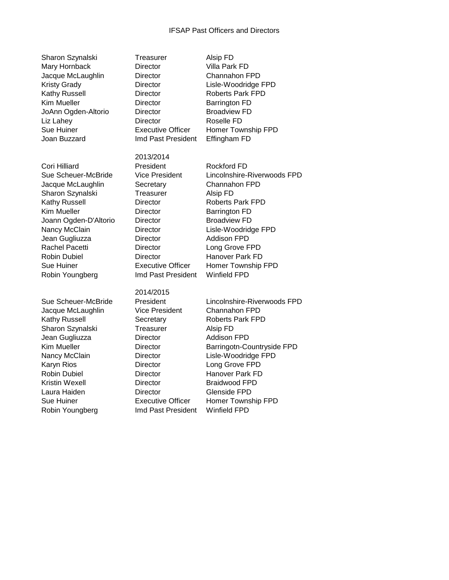| Sharon Szynalski     |
|----------------------|
| Mary Hornback        |
| Jacque McLaughlin    |
| <b>Kristy Grady</b>  |
| <b>Kathy Russell</b> |
| Kim Mueller          |
| JoAnn Ogden-Altorio  |
| Liz Lahey            |
| <b>Sue Huiner</b>    |
| Joan Buzzard         |
|                      |

Laura Haiden Director Glenside FPD Sue Huiner Executive Officer Homer Township FPD Robin Youngberg **Imd Past President** Winfield FPD

Treasurer Alsip FD Director Villa Park FD Director Channahon FPD Director Lisle-Woodridge FPD Director Roberts Park FPD Director Barrington FD Director **Broadview FD** Director Roselle FD Executive Officer Homer Township FPD Imd Past President Effingham FD 2013/2014 Cori Hilliard **President** President Rockford FD Sue Scheuer-McBride Vice President Lincolnshire-Riverwoods FPD Jacque McLaughlin Secretary Channahon FPD Sharon Szynalski **Treasurer** Alsip FD Kathy Russell **Director Roberts Park FPD** Kim Mueller **Director Barrington FD** Joann Ogden-D'Altorio Director Broadview FD Nancy McClain **Director** Lisle-Woodridge FPD Jean Gugliuzza Director Addison FPD Rachel Pacetti **Director** Director Long Grove FPD Robin Dubiel **Director Hanover Park FD** Sue Huiner Executive Officer Homer Township FPD Robin Youngberg Imd Past President Winfield FPD 2014/2015 Sue Scheuer-McBride President Lincolnshire-Riverwoods FPD Jacque McLaughlin Vice President Channahon FPD Kathy Russell **Secretary** Roberts Park FPD Sharon Szynalski **Treasurer** Alsip FD Jean Gugliuzza Director Addison FPD Kim Mueller **Director** Barringotn-Countryside FPD Nancy McClain Director Lisle-Woodridge FPD Karyn Rios **Director Long Grove FPD** Robin Dubiel Director Hanover Park FD Kristin Wexell **Director** Braidwood FPD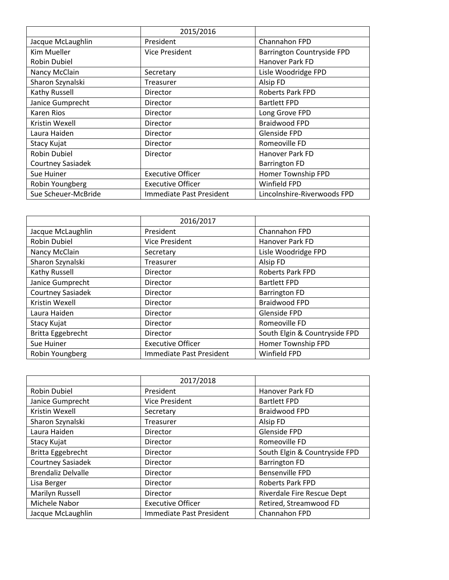|                     | 2015/2016                       |                             |
|---------------------|---------------------------------|-----------------------------|
| Jacque McLaughlin   | President                       | Channahon FPD               |
| <b>Kim Mueller</b>  | Vice President                  | Barrington Countryside FPD  |
| Robin Dubiel        |                                 | Hanover Park FD             |
| Nancy McClain       | Secretary                       | Lisle Woodridge FPD         |
| Sharon Szynalski    | <b>Treasurer</b>                | Alsip FD                    |
| Kathy Russell       | Director                        | <b>Roberts Park FPD</b>     |
| Janice Gumprecht    | Director                        | <b>Bartlett FPD</b>         |
| Karen Rios          | Director                        | Long Grove FPD              |
| Kristin Wexell      | Director                        | <b>Braidwood FPD</b>        |
| Laura Haiden        | Director                        | Glenside FPD                |
| Stacy Kujat         | Director                        | Romeoville FD               |
| Robin Dubiel        | Director                        | Hanover Park FD             |
| Courtney Sasiadek   |                                 | <b>Barrington FD</b>        |
| Sue Huiner          | <b>Executive Officer</b>        | Homer Township FPD          |
| Robin Youngberg     | <b>Executive Officer</b>        | Winfield FPD                |
| Sue Scheuer-McBride | <b>Immediate Past President</b> | Lincolnshire-Riverwoods FPD |

|                   | 2016/2017                |                               |
|-------------------|--------------------------|-------------------------------|
| Jacque McLaughlin | President                | Channahon FPD                 |
| Robin Dubiel      | <b>Vice President</b>    | Hanover Park FD               |
| Nancy McClain     | Secretary                | Lisle Woodridge FPD           |
| Sharon Szynalski  | Treasurer                | Alsip FD                      |
| Kathy Russell     | Director                 | Roberts Park FPD              |
| Janice Gumprecht  | Director                 | <b>Bartlett FPD</b>           |
| Courtney Sasiadek | Director                 | <b>Barrington FD</b>          |
| Kristin Wexell    | Director                 | <b>Braidwood FPD</b>          |
| Laura Haiden      | Director                 | Glenside FPD                  |
| Stacy Kujat       | Director                 | Romeoville FD                 |
| Britta Eggebrecht | Director                 | South Elgin & Countryside FPD |
| Sue Huiner        | <b>Executive Officer</b> | Homer Township FPD            |
| Robin Youngberg   | Immediate Past President | Winfield FPD                  |

|                           | 2017/2018                |                               |
|---------------------------|--------------------------|-------------------------------|
|                           |                          |                               |
| Robin Dubiel              | President                | Hanover Park FD               |
| Janice Gumprecht          | <b>Vice President</b>    | <b>Bartlett FPD</b>           |
| Kristin Wexell            | Secretary                | <b>Braidwood FPD</b>          |
| Sharon Szynalski          | Treasurer                | Alsip FD                      |
| Laura Haiden              | Director                 | Glenside FPD                  |
| Stacy Kujat               | Director                 | Romeoville FD                 |
| Britta Eggebrecht         | Director                 | South Elgin & Countryside FPD |
| Courtney Sasiadek         | Director                 | <b>Barrington FD</b>          |
| <b>Brendaliz Delvalle</b> | Director                 | <b>Bensenville FPD</b>        |
| Lisa Berger               | Director                 | Roberts Park FPD              |
| Marilyn Russell           | Director                 | Riverdale Fire Rescue Dept    |
| Michele Nabor             | <b>Executive Officer</b> | Retired, Streamwood FD        |
| Jacque McLaughlin         | Immediate Past President | Channahon FPD                 |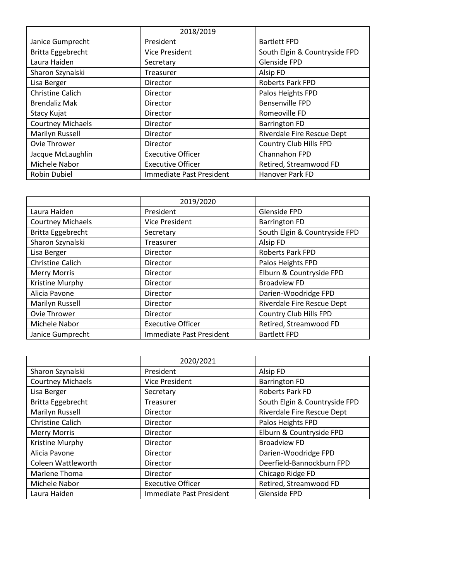|                          | 2018/2019                |                               |
|--------------------------|--------------------------|-------------------------------|
| Janice Gumprecht         | President                | <b>Bartlett FPD</b>           |
| Britta Eggebrecht        | <b>Vice President</b>    | South Elgin & Countryside FPD |
| Laura Haiden             | Secretary                | Glenside FPD                  |
| Sharon Szynalski         | Treasurer                | Alsip FD                      |
| Lisa Berger              | Director                 | Roberts Park FPD              |
| <b>Christine Calich</b>  | Director                 | Palos Heights FPD             |
| <b>Brendaliz Mak</b>     | Director                 | <b>Bensenville FPD</b>        |
| Stacy Kujat              | Director                 | Romeoville FD                 |
| <b>Courtney Michaels</b> | Director                 | <b>Barrington FD</b>          |
| Marilyn Russell          | Director                 | Riverdale Fire Rescue Dept    |
| Ovie Thrower             | Director                 | Country Club Hills FPD        |
| Jacque McLaughlin        | <b>Executive Officer</b> | Channahon FPD                 |
| Michele Nabor            | <b>Executive Officer</b> | Retired, Streamwood FD        |
| Robin Dubiel             | Immediate Past President | Hanover Park FD               |

|                          | 2019/2020                |                               |
|--------------------------|--------------------------|-------------------------------|
| Laura Haiden             | President                | Glenside FPD                  |
| <b>Courtney Michaels</b> | <b>Vice President</b>    | <b>Barrington FD</b>          |
| Britta Eggebrecht        | Secretary                | South Elgin & Countryside FPD |
| Sharon Szynalski         | Treasurer                | Alsip FD                      |
| Lisa Berger              | Director                 | Roberts Park FPD              |
| <b>Christine Calich</b>  | Director                 | Palos Heights FPD             |
| <b>Merry Morris</b>      | Director                 | Elburn & Countryside FPD      |
| Kristine Murphy          | Director                 | <b>Broadview FD</b>           |
| Alicia Pavone            | Director                 | Darien-Woodridge FPD          |
| Marilyn Russell          | Director                 | Riverdale Fire Rescue Dept    |
| Ovie Thrower             | Director                 | Country Club Hills FPD        |
| Michele Nabor            | <b>Executive Officer</b> | Retired, Streamwood FD        |
| Janice Gumprecht         | Immediate Past President | <b>Bartlett FPD</b>           |

|                          | 2020/2021                |                                   |
|--------------------------|--------------------------|-----------------------------------|
| Sharon Szynalski         | President                | Alsip FD                          |
| <b>Courtney Michaels</b> | <b>Vice President</b>    | <b>Barrington FD</b>              |
| Lisa Berger              | Secretary                | Roberts Park FD                   |
| Britta Eggebrecht        | Treasurer                | South Elgin & Countryside FPD     |
| Marilyn Russell          | Director                 | <b>Riverdale Fire Rescue Dept</b> |
| <b>Christine Calich</b>  | Director                 | Palos Heights FPD                 |
| <b>Merry Morris</b>      | Director                 | Elburn & Countryside FPD          |
| Kristine Murphy          | Director                 | <b>Broadview FD</b>               |
| Alicia Pavone            | Director                 | Darien-Woodridge FPD              |
| Coleen Wattleworth       | Director                 | Deerfield-Bannockburn FPD         |
| Marlene Thoma            | Director                 | Chicago Ridge FD                  |
| Michele Nabor            | <b>Executive Officer</b> | Retired, Streamwood FD            |
| Laura Haiden             | Immediate Past President | Glenside FPD                      |